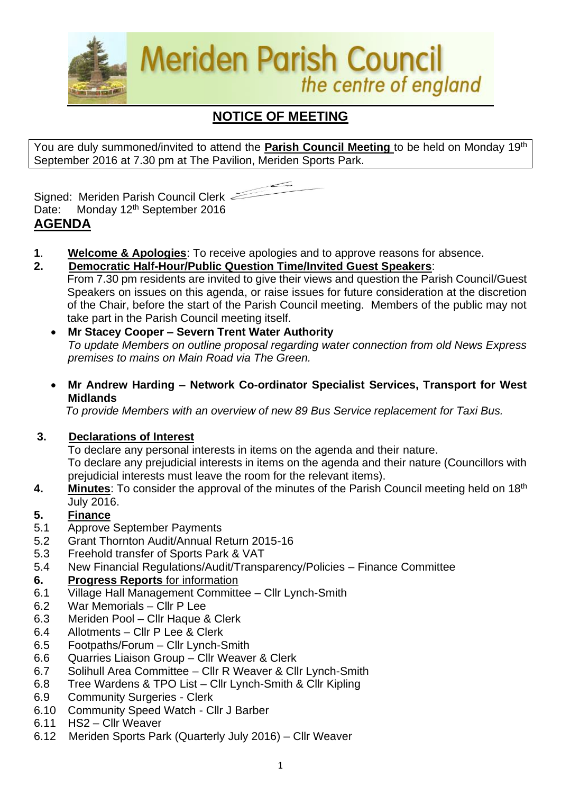

# **NOTICE OF MEETING**

You are duly summoned/invited to attend the **Parish Council Meeting** to be held on Monday 19th September 2016 at 7.30 pm at The Pavilion, Meriden Sports Park.



Signed: Meriden Parish Council Clerk Date: Monday 12<sup>th</sup> September 2016 **AGENDA**

- **1**. **Welcome & Apologies**: To receive apologies and to approve reasons for absence.
- **2. Democratic Half-Hour/Public Question Time/Invited Guest Speakers**:
	- From 7.30 pm residents are invited to give their views and question the Parish Council/Guest Speakers on issues on this agenda, or raise issues for future consideration at the discretion of the Chair, before the start of the Parish Council meeting. Members of the public may not take part in the Parish Council meeting itself.
	- **Mr Stacey Cooper – Severn Trent Water Authority** *To update Members on outline proposal regarding water connection from old News Express premises to mains on Main Road via The Green.*
	- **Mr Andrew Harding – Network Co-ordinator Specialist Services, Transport for West Midlands**

 *To provide Members with an overview of new 89 Bus Service replacement for Taxi Bus.*

#### **3. Declarations of Interest**

To declare any personal interests in items on the agenda and their nature. To declare any prejudicial interests in items on the agenda and their nature (Councillors with prejudicial interests must leave the room for the relevant items).

**4.** Minutes: To consider the approval of the minutes of the Parish Council meeting held on 18<sup>th</sup> July 2016.

#### **5. Finance**

- 5.1 Approve September Payments
- 5.2 Grant Thornton Audit/Annual Return 2015-16
- 5.3 Freehold transfer of Sports Park & VAT
- 5.4 New Financial Regulations/Audit/Transparency/Policies Finance Committee

#### **6. Progress Reports** for information

- 6.1 Village Hall Management Committee Cllr Lynch-Smith
- 6.2 War Memorials Cllr P Lee
- 6.3 Meriden Pool Cllr Haque & Clerk
- 6.4 Allotments Cllr P Lee & Clerk
- 6.5 Footpaths/Forum Cllr Lynch-Smith
- 6.6 Quarries Liaison Group Cllr Weaver & Clerk
- 6.7 Solihull Area Committee Cllr R Weaver & Cllr Lynch-Smith
- 6.8 Tree Wardens & TPO List Cllr Lynch-Smith & Cllr Kipling
- 6.9 Community Surgeries Clerk
- 6.10 Community Speed Watch Cllr J Barber
- 6.11 HS2 Cllr Weaver
- 6.12Meriden Sports Park (Quarterly July 2016) Cllr Weaver